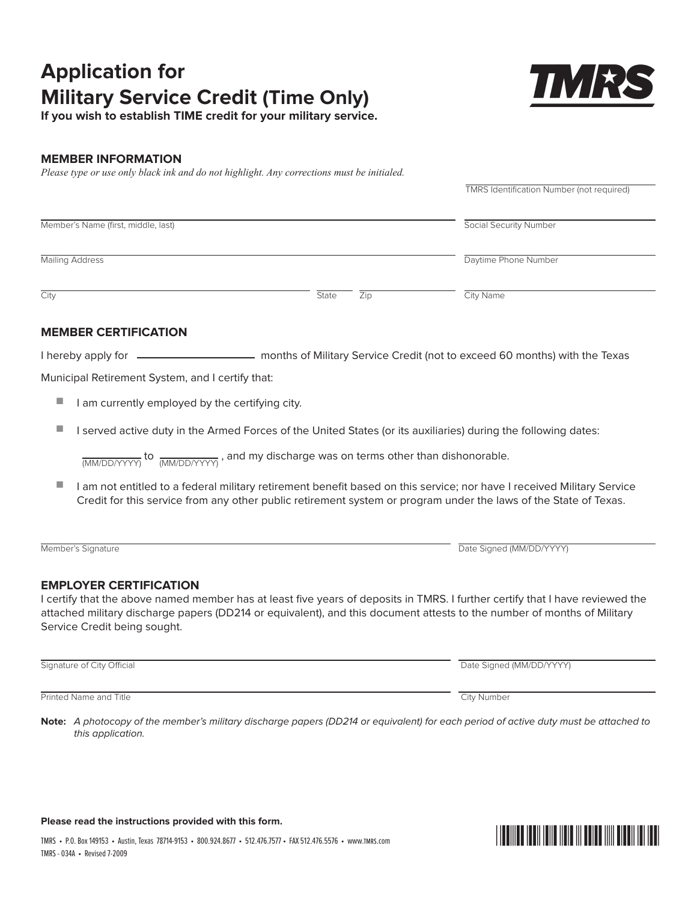# **Application for Military Service Credit (Time Only)**

**If you wish to establish TIME credit for your military service.**

## **Member Information**

*Please type or use only black ink and do not highlight. Any corrections must be initialed.*

|                                     |       |     | TMRS Identification Number (not required) |
|-------------------------------------|-------|-----|-------------------------------------------|
| Member's Name (first, middle, last) |       |     | <b>Social Security Number</b>             |
| <b>Mailing Address</b>              |       |     | Daytime Phone Number                      |
| City                                | State | Zip | City Name                                 |

## **Member Certificatio ication**

I hereby apply for **months of Military Service Credit (not to exceed 60 months)** with the Texas

Municipal Retirement System, and I certify that:

- I am currently employed by the certifying city.
- I served active duty in the Armed Forces of the United States (or its auxiliaries) during the following dates:

 $\overline{\textrm{(MM/DD/YYY)}}$  to  $\overline{\textrm{(MM/DD/YYYY)}}$  , and my discharge was on terms other than dishonorable.

■ I am not entitled to a federal military retirement benefit based on this service; nor have I received Military Service Credit for this service from any other public retirement system or program under the laws of the State of Texas.

Member's Signature Date Signature Date Signed (MM/DD/YYYY)

### **EMPLOYER CERTIFICATION**

I certify that the above named member has at least five years of deposits in TMRS. I further certify that I have reviewed the attached military discharge papers (DD214 or equivalent), and this document attests to the number of months of Military Service Credit being sought.

Signature of City Official Date Signed (MM/DD/YYYY)

**Printed Name and Title City Number** City Number

**Note:** A photocopy of the member's military discharge papers (DD214 or equivalent) for each period of active duty must be attached to this application.

#### **Please read the instructions provided with this form.**